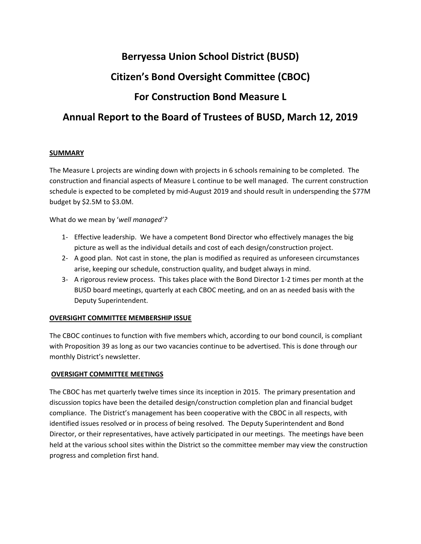# **Berryessa Union School District (BUSD) Citizen's Bond Oversight Committee (CBOC) For Construction Bond Measure L Annual Report to the Board of Trustees of BUSD, March 12, 2019**

## **SUMMARY**

The Measure L projects are winding down with projects in 6 schools remaining to be completed. The construction and financial aspects of Measure L continue to be well managed. The current construction schedule is expected to be completed by mid‐August 2019 and should result in underspending the \$77M budget by \$2.5M to \$3.0M.

What do we mean by '*well managed'?* 

- 1‐ Effective leadership. We have a competent Bond Director who effectively manages the big picture as well as the individual details and cost of each design/construction project.
- 2‐ A good plan. Not cast in stone, the plan is modified as required as unforeseen circumstances arise, keeping our schedule, construction quality, and budget always in mind.
- 3‐ A rigorous review process. This takes place with the Bond Director 1‐2 times per month at the BUSD board meetings, quarterly at each CBOC meeting, and on an as needed basis with the Deputy Superintendent.

## **OVERSIGHT COMMITTEE MEMBERSHIP ISSUE**

The CBOC continues to function with five members which, according to our bond council, is compliant with Proposition 39 as long as our two vacancies continue to be advertised. This is done through our monthly District's newsletter.

### **OVERSIGHT COMMITTEE MEETINGS**

The CBOC has met quarterly twelve times since its inception in 2015. The primary presentation and discussion topics have been the detailed design/construction completion plan and financial budget compliance. The District's management has been cooperative with the CBOC in all respects, with identified issues resolved or in process of being resolved. The Deputy Superintendent and Bond Director, or their representatives, have actively participated in our meetings. The meetings have been held at the various school sites within the District so the committee member may view the construction progress and completion first hand.